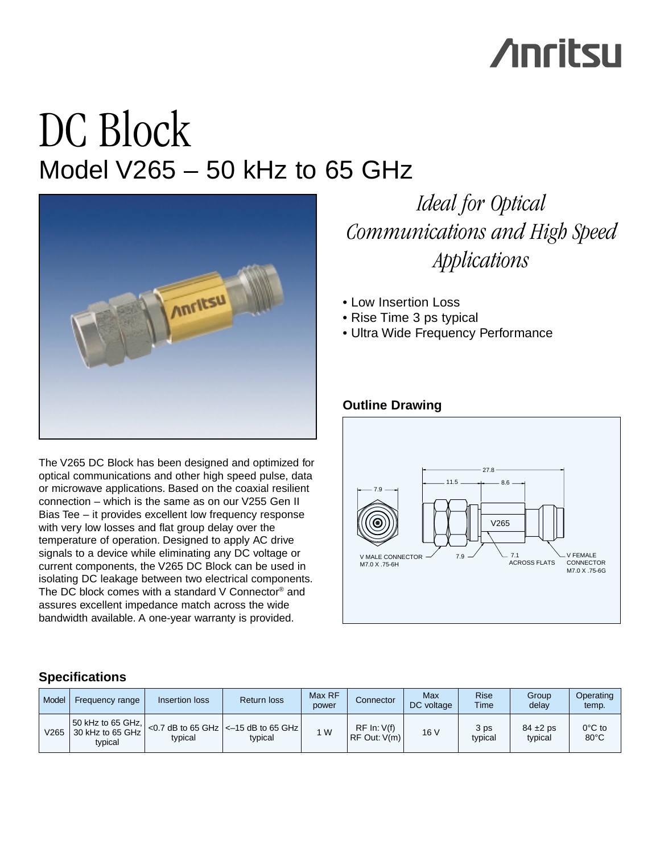# **Anritsu**

## DC Block Model V265 – 50 kHz to 65 GHz



The V265 DC Block has been designed and optimized for optical communications and other high speed pulse, data or microwave applications. Based on the coaxial resilient connection – which is the same as on our V255 Gen II Bias Tee – it provides excellent low frequency response with very low losses and flat group delay over the temperature of operation. Designed to apply AC drive signals to a device while eliminating any DC voltage or current components, the V265 DC Block can be used in isolating DC leakage between two electrical components. The DC block comes with a standard V Connector® and assures excellent impedance match across the wide bandwidth available. A one-year warranty is provided.

## *Ideal for Optical Communications and High Speed Applications*

- Low Insertion Loss
- Rise Time 3 ps typical
- Ultra Wide Frequency Performance

### **Outline Drawing**



### **Specifications**

| Model | <b>Frequency range</b>                                          | Insertion loss | Return loss                                                    | Max RF<br>power | Connector                         | Max<br>DC voltage | <b>Rise</b><br>Time | Group<br>delay           | Operating<br>temp.                 |
|-------|-----------------------------------------------------------------|----------------|----------------------------------------------------------------|-----------------|-----------------------------------|-------------------|---------------------|--------------------------|------------------------------------|
| V265  | $ 50 \text{ kHz}$ to 65 GHz, $ $<br>30 kHz to 65 GHz<br>tvpical | typical        | <0.7 dB to 65 GHz $\vert$ <-15 dB to 65 GHz $\vert$<br>typical | 1 W             | RF In: V(f)<br>$ RF$ Out: $V(m) $ | 16 V              | 3 ps<br>typical     | $84 \pm 2$ ps<br>typical | $0^{\circ}$ C to<br>$80^{\circ}$ C |